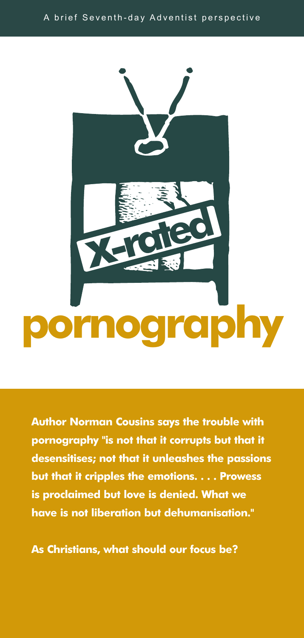

**Author Norman Cousins says the trouble with pornography "is not that it corrupts but that it desensitises; not that it unleashes the passions but that it cripples the emotions. . . . Prowess is proclaimed but love is denied. What we have is not liberation but dehumanisation."**

**As Christians, what should our focus be?**